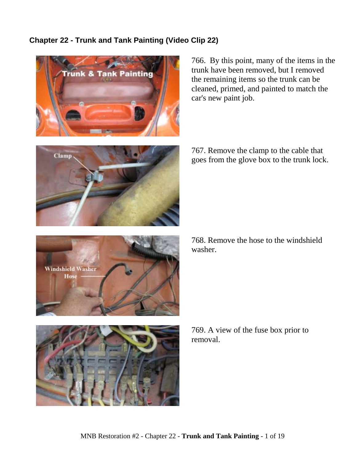## **Chapter 22 - Trunk and Tank Painting (Video Clip 22)**



766. By this point, many of the items in the trunk have been removed, but I removed the remaining items so the trunk can be cleaned, primed, and painted to match the car's new paint job.



767. Remove the clamp to the cable that goes from the glove box to the trunk lock.



768. Remove the hose to the windshield washer.



769. A view of the fuse box prior to removal.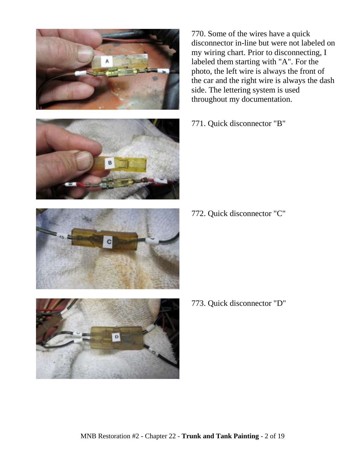





770. Some of the wires have a quick disconnector in-line but were not labeled on my wiring chart. Prior to disconnecting, I labeled them starting with "A". For the photo, the left wire is always the front of the car and the right wire is always the dash side. The lettering system is used throughout my documentation.

771. Quick disconnector "B"

772. Quick disconnector "C"

773. Quick disconnector "D"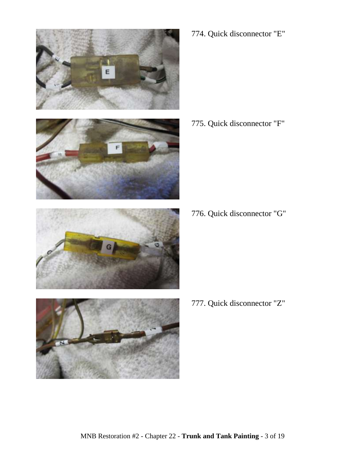







774. Quick disconnector "E"

775. Quick disconnector "F"

776. Quick disconnector "G"

777. Quick disconnector "Z"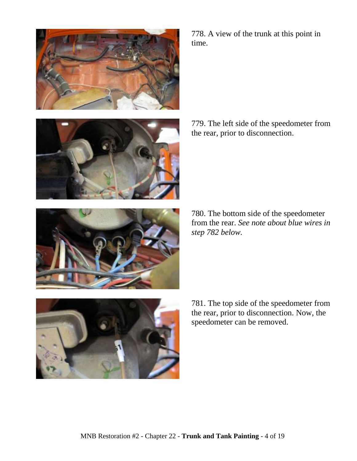





778. A view of the trunk at this point in time.

779. The left side of the speedometer from the rear, prior to disconnection.

780. The bottom side of the speedometer from the rear. *See note about blue wires in step 782 below.*

781. The top side of the speedometer from the rear, prior to disconnection. Now, the speedometer can be removed.

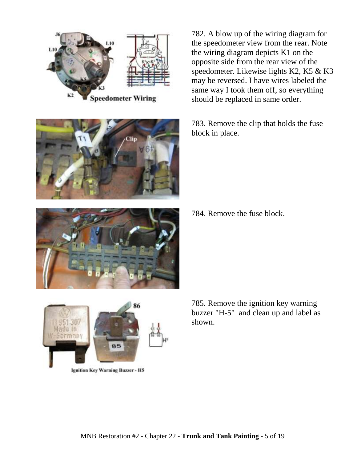





782. A blow up of the wiring diagram for the speedometer view from the rear. Note the wiring diagram depicts K1 on the opposite side from the rear view of the speedometer. Likewise lights K2, K5 & K3 may be reversed. I have wires labeled the same way I took them off, so everything should be replaced in same order.

783. Remove the clip that holds the fuse block in place.

784. Remove the fuse block.





Ignition Key Warning Buzzer - H5

785. Remove the ignition key warning buzzer "H-5" and clean up and label as shown.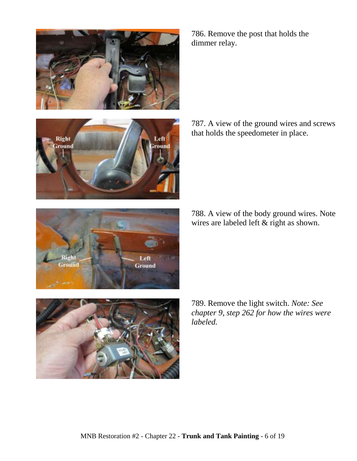786. Remove the post that holds the dimmer relay.

787. A view of the ground wires and screws that holds the speedometer in place.

788. A view of the body ground wires. Note wires are labeled left & right as shown.

789. Remove the light switch. *Note: See chapter 9, step 262 for how the wires were labeled.*





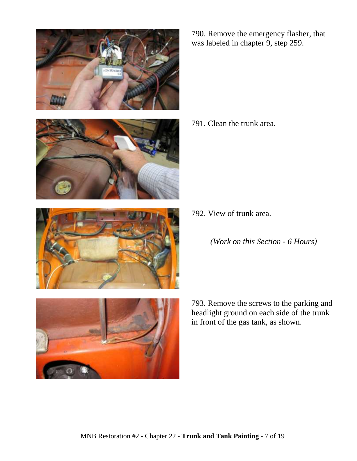







790. Remove the emergency flasher, that was labeled in chapter 9, step 259.

791. Clean the trunk area.

792. View of trunk area.

*(Work on this Section - 6 Hours)*

793. Remove the screws to the parking and headlight ground on each side of the trunk in front of the gas tank, as shown.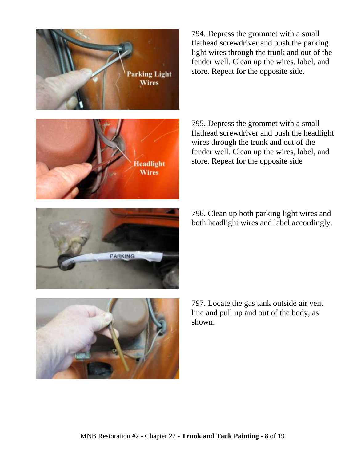

794. Depress the grommet with a small flathead screwdriver and push the parking light wires through the trunk and out of the fender well. Clean up the wires, label, and store. Repeat for the opposite side.



795. Depress the grommet with a small flathead screwdriver and push the headlight wires through the trunk and out of the fender well. Clean up the wires, label, and store. Repeat for the opposite side

796. Clean up both parking light wires and both headlight wires and label accordingly.



797. Locate the gas tank outside air vent line and pull up and out of the body, as shown.

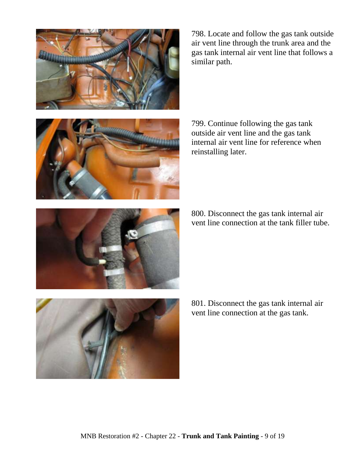

798. Locate and follow the gas tank outside air vent line through the trunk area and the gas tank internal air vent line that follows a similar path.



799. Continue following the gas tank outside air vent line and the gas tank internal air vent line for reference when reinstalling later.

800. Disconnect the gas tank internal air vent line connection at the tank filler tube.



801. Disconnect the gas tank internal air vent line connection at the gas tank.

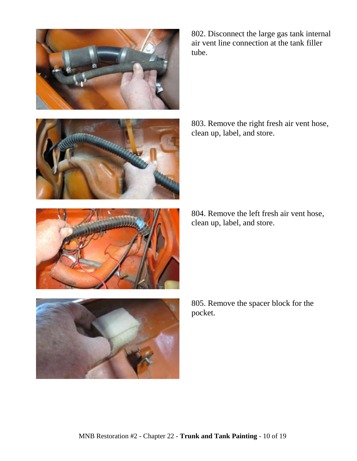

802. Disconnect the large gas tank internal air vent line connection at the tank filler tube.





803. Remove the right fresh air vent hose, clean up, label, and store.

804. Remove the left fresh air vent hose, clean up, label, and store.

805. Remove the spacer block for the pocket.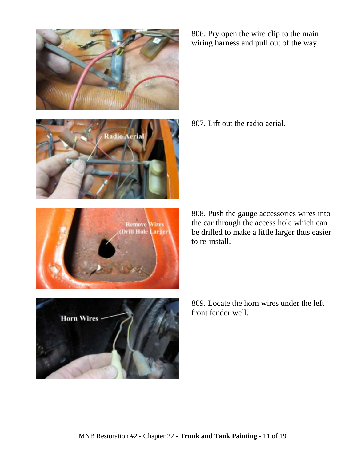





806. Pry open the wire clip to the main wiring harness and pull out of the way.

807. Lift out the radio aerial.

808. Push the gauge accessories wires into the car through the access hole which can be drilled to make a little larger thus easier to re-install.



809. Locate the horn wires under the left front fender well.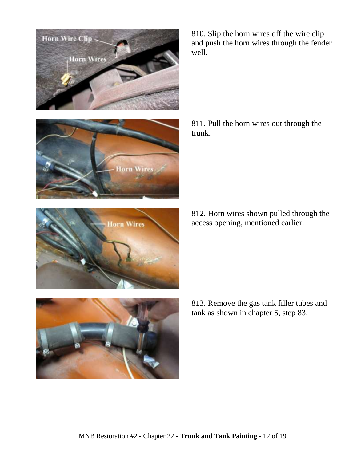

810. Slip the horn wires off the wire clip and push the horn wires through the fender well.



811. Pull the horn wires out through the trunk.

812. Horn wires shown pulled through the access opening, mentioned earlier.



813. Remove the gas tank filler tubes and tank as shown in chapter 5, step 83.

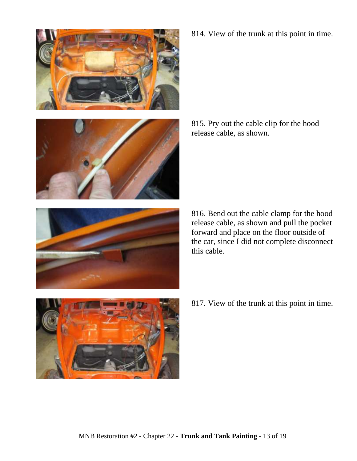





814. View of the trunk at this point in time.

815. Pry out the cable clip for the hood release cable, as shown.

816. Bend out the cable clamp for the hood release cable, as shown and pull the pocket forward and place on the floor outside of the car, since I did not complete disconnect this cable.



817. View of the trunk at this point in time.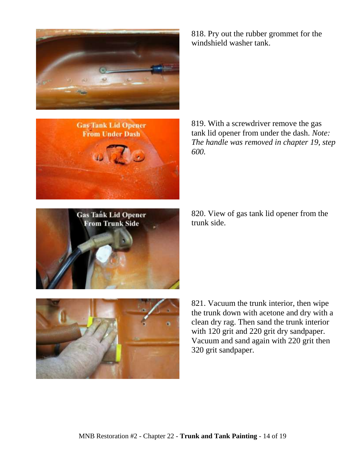

818. Pry out the rubber grommet for the windshield washer tank.



819. With a screwdriver remove the gas tank lid opener from under the dash. *Note: The handle was removed in chapter 19, step 600.*

820. View of gas tank lid opener from the trunk side.





821. Vacuum the trunk interior, then wipe the trunk down with acetone and dry with a clean dry rag. Then sand the trunk interior with 120 grit and 220 grit dry sandpaper. Vacuum and sand again with 220 grit then 320 grit sandpaper.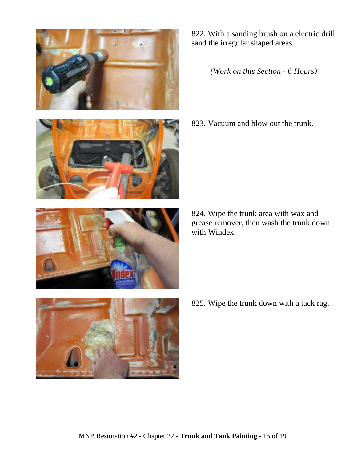

822. With a sanding brush on a electric drill sand the irregular shaped areas.

*(Work on this Section - 6 Hours)*

823. Vacuum and blow out the trunk.

824. Wipe the trunk area with wax and grease remover, then wash the trunk down with Windex.





825. Wipe the trunk down with a tack rag.

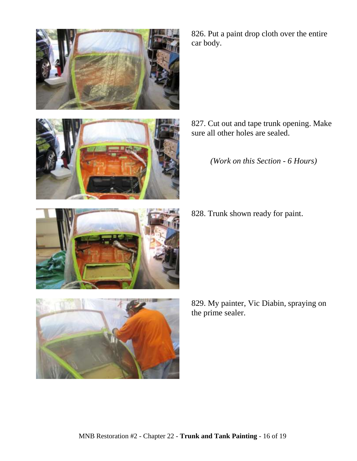

826. Put a paint drop cloth over the entire car body.

- 827. Cut out and tape trunk opening. Make sure all other holes are sealed.
	- *(Work on this Section - 6 Hours)*
- 828. Trunk shown ready for paint.
- 



829. My painter, Vic Diabin, spraying on the prime sealer.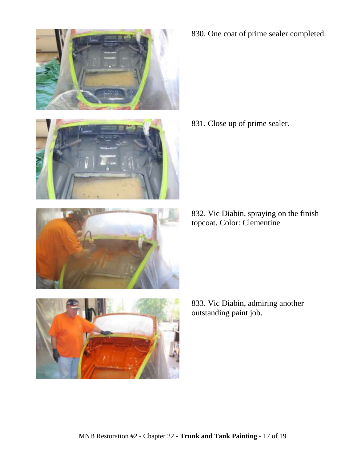





830. One coat of prime sealer completed.

831. Close up of prime sealer.

832. Vic Diabin, spraying on the finish topcoat. Color: Clementine



833. Vic Diabin, admiring another outstanding paint job.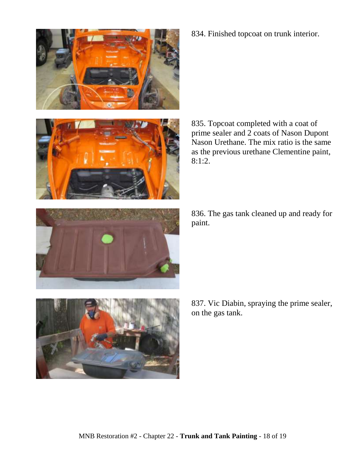

835. Topcoat completed with a coat of prime sealer and 2 coats of Nason Dupont Nason Urethane. The mix ratio is the same as the previous urethane Clementine paint, 8:1:2.



836. The gas tank cleaned up and ready for paint.





834. Finished topcoat on trunk interior.